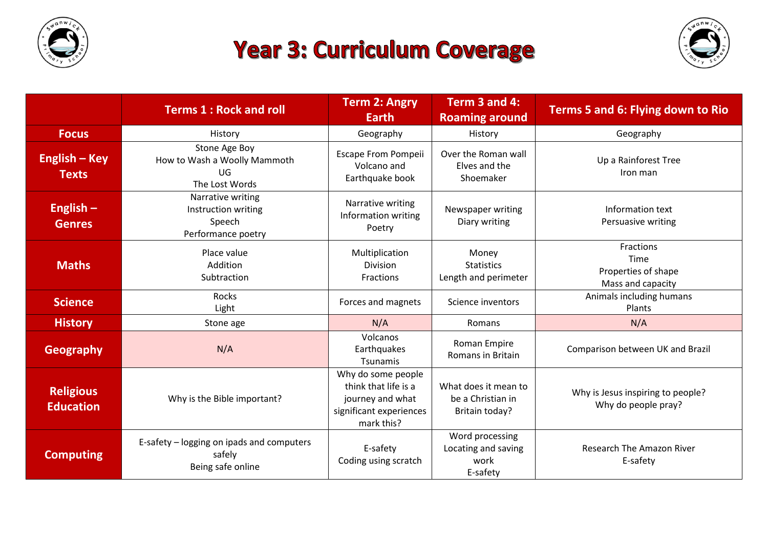

## **Year 3: Curriculum Coverage**



|                                      | <b>Terms 1: Rock and roll</b>                                            | <b>Term 2: Angry</b><br><b>Earth</b>                                                                    | Term 3 and 4:<br><b>Roaming around</b>                      | <b>Terms 5 and 6: Flying down to Rio</b>                      |
|--------------------------------------|--------------------------------------------------------------------------|---------------------------------------------------------------------------------------------------------|-------------------------------------------------------------|---------------------------------------------------------------|
| <b>Focus</b>                         | History                                                                  | Geography                                                                                               | History                                                     | Geography                                                     |
| English – Key<br><b>Texts</b>        | Stone Age Boy<br>How to Wash a Woolly Mammoth<br>UG<br>The Lost Words    | Escape From Pompeii<br>Volcano and<br>Earthquake book                                                   | Over the Roman wall<br>Elves and the<br>Shoemaker           | Up a Rainforest Tree<br>Iron man                              |
| English $-$<br><b>Genres</b>         | Narrative writing<br>Instruction writing<br>Speech<br>Performance poetry | Narrative writing<br>Information writing<br>Poetry                                                      | Newspaper writing<br>Diary writing                          | Information text<br>Persuasive writing                        |
| <b>Maths</b>                         | Place value<br>Addition<br>Subtraction                                   | Multiplication<br><b>Division</b><br>Fractions                                                          | Money<br><b>Statistics</b><br>Length and perimeter          | Fractions<br>Time<br>Properties of shape<br>Mass and capacity |
| <b>Science</b>                       | Rocks<br>Light                                                           | Forces and magnets                                                                                      | Science inventors                                           | Animals including humans<br>Plants                            |
| <b>History</b>                       | Stone age                                                                | N/A                                                                                                     | Romans                                                      | N/A                                                           |
| <b>Geography</b>                     | N/A                                                                      | Volcanos<br>Earthquakes<br>Tsunamis                                                                     | Roman Empire<br>Romans in Britain                           | Comparison between UK and Brazil                              |
| <b>Religious</b><br><b>Education</b> | Why is the Bible important?                                              | Why do some people<br>think that life is a<br>journey and what<br>significant experiences<br>mark this? | What does it mean to<br>be a Christian in<br>Britain today? | Why is Jesus inspiring to people?<br>Why do people pray?      |
| <b>Computing</b>                     | E-safety - logging on ipads and computers<br>safely<br>Being safe online | E-safety<br>Coding using scratch                                                                        | Word processing<br>Locating and saving<br>work<br>E-safety  | <b>Research The Amazon River</b><br>E-safety                  |